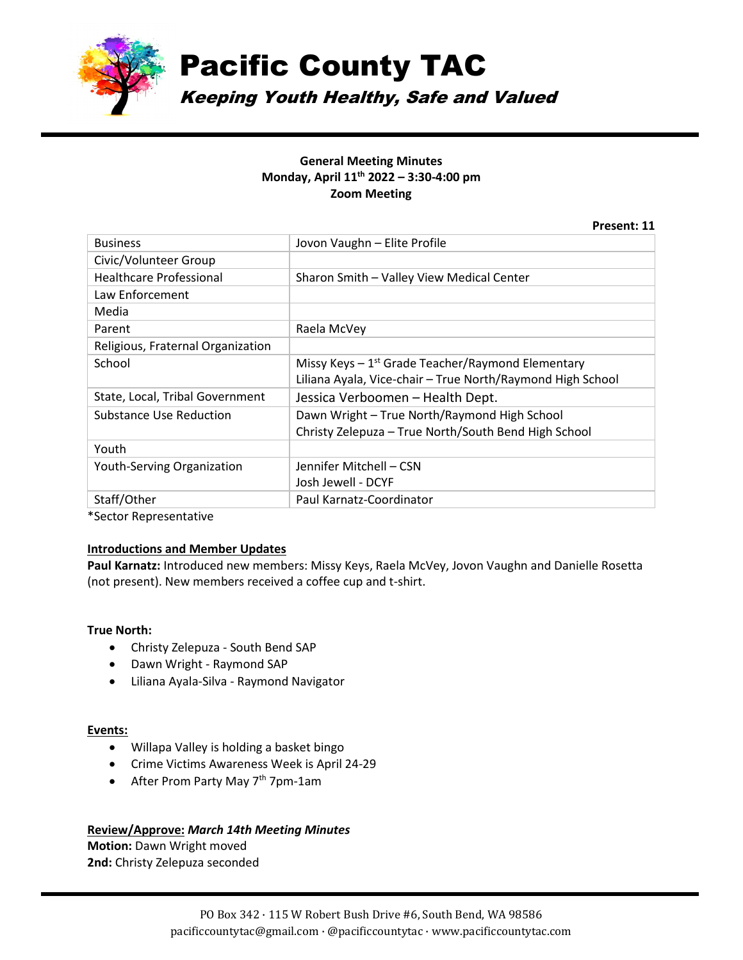

Pacific County TAC

Keeping Youth Healthy, Safe and Valued

## **General Meeting Minutes Monday, April 11th 2022 – 3:30-4:00 pm Zoom Meeting**

|                                   | Present: 11                                                    |
|-----------------------------------|----------------------------------------------------------------|
| <b>Business</b>                   | Jovon Vaughn - Elite Profile                                   |
| Civic/Volunteer Group             |                                                                |
| <b>Healthcare Professional</b>    | Sharon Smith - Valley View Medical Center                      |
| Law Enforcement                   |                                                                |
| Media                             |                                                                |
| Parent                            | Raela McVey                                                    |
| Religious, Fraternal Organization |                                                                |
| School                            | Missy Keys $-1$ <sup>st</sup> Grade Teacher/Raymond Elementary |
|                                   | Liliana Ayala, Vice-chair - True North/Raymond High School     |
| State, Local, Tribal Government   | Jessica Verboomen - Health Dept.                               |
| Substance Use Reduction           | Dawn Wright - True North/Raymond High School                   |
|                                   | Christy Zelepuza – True North/South Bend High School           |
| Youth                             |                                                                |
| <b>Youth-Serving Organization</b> | Jennifer Mitchell – CSN                                        |
|                                   | Josh Jewell - DCYF                                             |
| Staff/Other                       | Paul Karnatz-Coordinator                                       |

\*Sector Representative

### **Introductions and Member Updates**

**Paul Karnatz:** Introduced new members: Missy Keys, Raela McVey, Jovon Vaughn and Danielle Rosetta (not present). New members received a coffee cup and t-shirt.

### **True North:**

- Christy Zelepuza South Bend SAP
- Dawn Wright Raymond SAP
- Liliana Ayala-Silva Raymond Navigator

## Events:

- Willapa Valley is holding a basket bingo
- Crime Victims Awareness Week is April 24-29
- After Prom Party May 7<sup>th</sup> 7pm-1am

### **Review/Approve:** *March 14th Meeting Minutes*

**Motion:** Dawn Wright moved **2nd:** Christy Zelepuza seconded